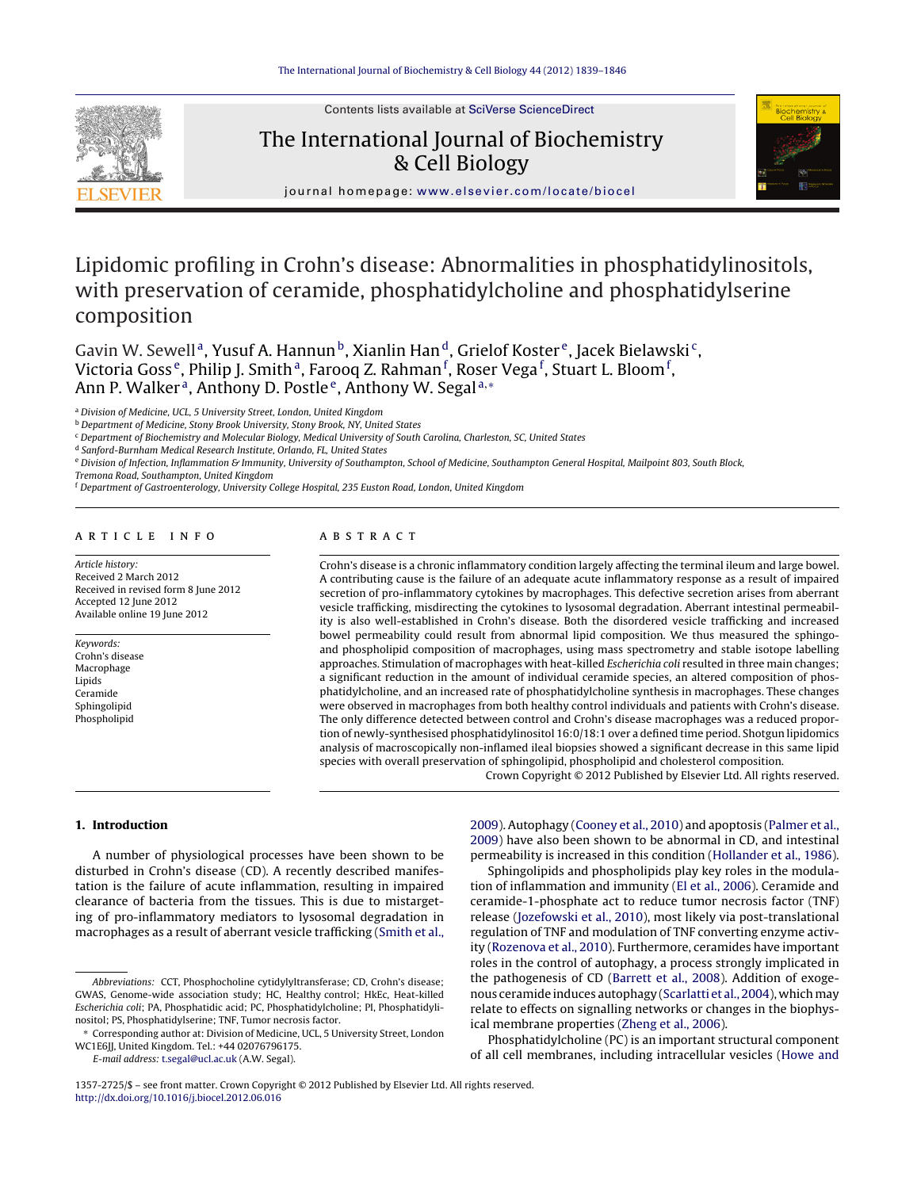Contents lists available at SciVerse [ScienceDirect](http://www.sciencedirect.com/science/journal/13572725)



# The International Journal of Biochemistry & Cell Biology



journal hom epage: [www.elsevier.com/locate/biocel](http://www.elsevier.com/locate/biocel)

# Lipidomic profiling in Crohn's disease: Abnormalities in phosphatidylinositols, with preservation of ceramide, phosphatidylcholine and phosphatidylserine composition

Gavin W. Sewell<sup>a</sup>, Yusuf A. Hannun<sup>b</sup>, Xianlin Han<sup>d</sup>, Grielof Koster<sup>e</sup>, Jacek Bielawski<sup>c</sup>, Victoria Goss<sup>e</sup>, Philip J. Smithª, Farooq Z. Rahman<sup>f</sup>, Roser Vega<sup>f</sup>, Stuart L. Bloom<sup>f</sup>, Ann P. Walker<sup>a</sup>, Anthony D. Postle<sup>e</sup>, Anthony W. Segal<sup>a,∗</sup>

<sup>a</sup> Division of Medicine, UCL, 5 University Street, London, United Kingdom

**b** Department of Medicine, Stony Brook University, Stony Brook, NY, United States

<sup>c</sup> Department of Biochemistry and Molecular Biology, Medical University of South Carolina, Charleston, SC, United States

<sup>d</sup> Sanford-Burnham Medical Research Institute, Orlando, FL, United States

e Division of Infection, Inflammation & Immunity, University of Southampton, School of Medicine, Southampton General Hospital, Mailpoint 803, South Block,

Tremona Road, Southampton, United Kingdom

<sup>f</sup> Department of Gastroenterology, University College Hospital, 235 Euston Road, London, United Kingdom

## ARTICLE INFO

Article history: Received 2 March 2012 Received in revised form 8 June 2012 Accepted 12 June 2012 Available online 19 June 2012

Keywords: Crohn's disease Macrophage Lipids Ceramide Sphingolipid Phospholipid

## A B S T R A C T

Crohn's disease is a chronic inflammatory condition largely affecting the terminal ileum and large bowel. A contributing cause is the failure of an adequate acute inflammatory response as a result of impaired secretion of pro-inflammatory cytokines by macrophages. This defective secretion arises from aberrant vesicle trafficking, misdirecting the cytokines to lysosomal degradation. Aberrant intestinal permeability is also well-established in Crohn's disease. Both the disordered vesicle trafficking and increased bowel permeability could result from abnormal lipid composition. We thus measured the sphingoand phospholipid composition of macrophages, using mass spectrometry and stable isotope labelling approaches. Stimulation of macrophages with heat-killed Escherichia coli resulted in three main changes; a significant reduction in the amount of individual ceramide species, an altered composition of phosphatidylcholine, and an increased rate of phosphatidylcholine synthesis in macrophages. These changes were observed in macrophages from both healthy control individuals and patients with Crohn's disease. The only difference detected between control and Crohn's disease macrophages was a reduced proportion of newly-synthesised phosphatidylinositol 16:0/18:1 over a defined time period. Shotgun lipidomics analysis of macroscopically non-inflamed ileal biopsies showed a significant decrease in this same lipid species with overall preservation of sphingolipid, phospholipid and cholesterol composition.

Crown Copyright © 2012 Published by Elsevier Ltd. All rights reserved.

### **1. Introduction**

A number of physiological processes have been shown to be disturbed in Crohn's disease (CD). A recently described manifestation is the failure of acute inflammation, resulting in impaired clearance of bacteria from the tissues. This is due to mistargeting of pro-inflammatory mediators to lysosomal degradation in macrophages as a result of aberrant vesicle trafficking [\(Smith](#page-7-0) et [al.,](#page-7-0)

E-mail address: [t.segal@ucl.ac.uk](mailto:t.segal@ucl.ac.uk) (A.W. Segal).

[2009\).](#page-7-0) Autophagy [\(Cooney](#page-7-0) et [al.,](#page-7-0) [2010\)](#page-7-0) and apoptosis ([Palmer](#page-7-0) et [al.,](#page-7-0) [2009\)](#page-7-0) have also been shown to be abnormal in CD, and intestinal permeability is increased in this condition [\(Hollander](#page-7-0) et [al.,](#page-7-0) [1986\).](#page-7-0)

Sphingolipids and phospholipids play key roles in the modulation of inflammation and immunity ([El](#page-7-0) et [al.,](#page-7-0) [2006\).](#page-7-0) Ceramide and ceramide-1-phosphate act to reduce tumor necrosis factor (TNF) release ([Jozefowski](#page-7-0) et [al.,](#page-7-0) [2010\),](#page-7-0) most likely via post-translational regulation of TNF and modulation of TNF converting enzyme activity ([Rozenova](#page-7-0) et [al.,](#page-7-0) [2010\).](#page-7-0) Furthermore, ceramides have important roles in the control of autophagy, a process strongly implicated in the pathogenesis of CD [\(Barrett](#page-6-0) et [al.,](#page-6-0) [2008\).](#page-6-0) Addition of exoge-nous ceramide induces autophagy ([Scarlatti](#page-7-0) et [al.,](#page-7-0) [2004\),](#page-7-0) which may relate to effects on signalling networks or changes in the biophysical membrane properties ([Zheng](#page-7-0) et [al.,](#page-7-0) [2006\).](#page-7-0)

Phosphatidylcholine (PC) is an important structural component of all cell membranes, including intracellular vesicles [\(Howe](#page-7-0) [and](#page-7-0)

Abbreviations: CCT, Phosphocholine cytidylyltransferase; CD, Crohn's disease; GWAS, Genome-wide association study; HC, Healthy control; HkEc, Heat-killed Escherichia coli; PA, Phosphatidic acid; PC, Phosphatidylcholine; PI, Phosphatidylinositol; PS, Phosphatidylserine; TNF, Tumor necrosis factor.

<sup>∗</sup> Corresponding author at: Division of Medicine, UCL, 5 University Street, London WC1E6JJ, United Kingdom. Tel.: +44 02076796175.

<sup>1357-2725/\$</sup> – see front matter. Crown Copyright © 2012 Published by Elsevier Ltd. All rights reserved. [http://dx.doi.org/10.1016/j.biocel.2012.06.016](dx.doi.org/10.1016/j.biocel.2012.06.016)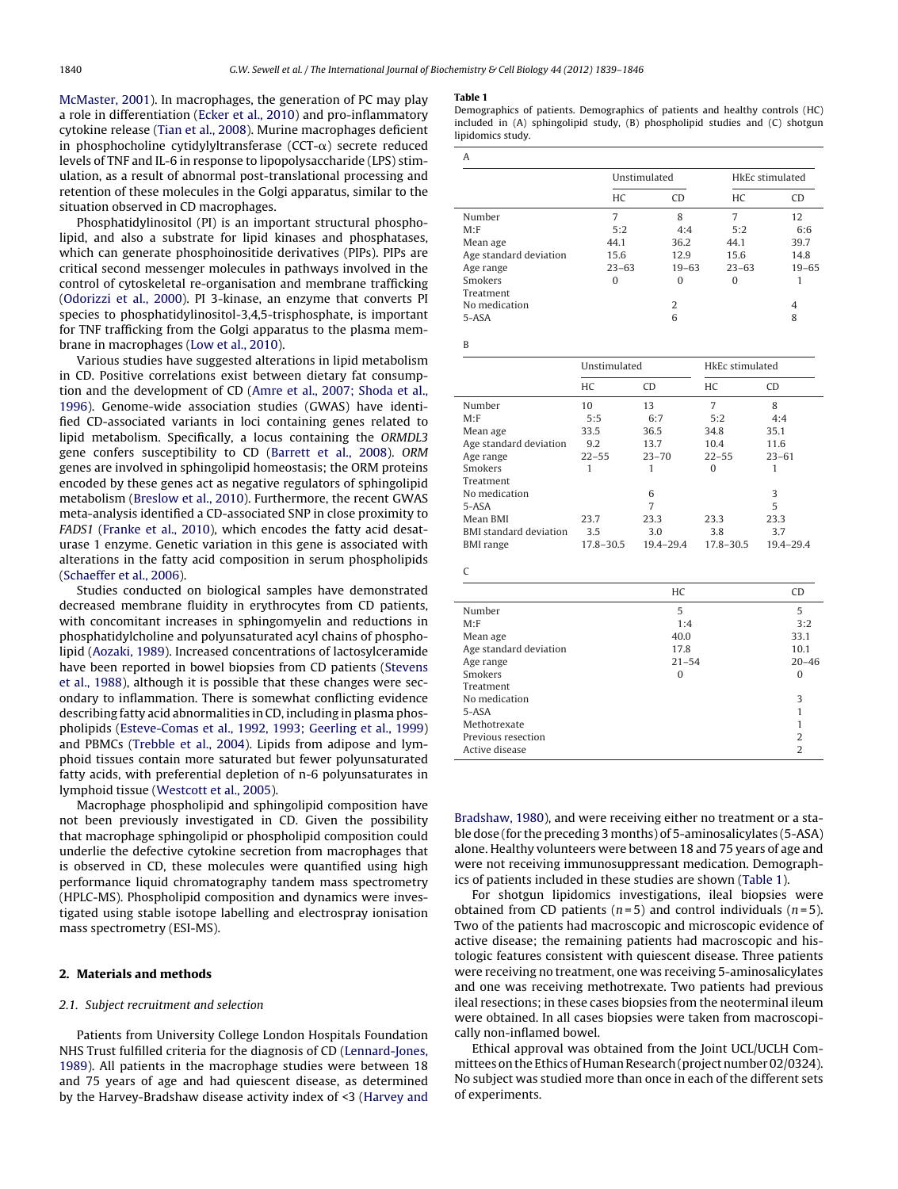[McMaster,](#page-7-0) [2001\).](#page-7-0) In macrophages, the generation of PC may play a role in differentiation ([Ecker](#page-7-0) et [al.,](#page-7-0) [2010\)](#page-7-0) and pro-inflammatory cytokine release [\(Tian](#page-7-0) et [al.,](#page-7-0) [2008\).](#page-7-0) Murine macrophages deficient in phosphocholine cytidylyltransferase (CCT- $\alpha$ ) secrete reduced levels of TNF and IL-6 in response to lipopolysaccharide (LPS) stimulation, as a result of abnormal post-translational processing and retention of these molecules in the Golgi apparatus, similar to the situation observed in CD macrophages.

Phosphatidylinositol (PI) is an important structural phospholipid, and also a substrate for lipid kinases and phosphatases, which can generate phosphoinositide derivatives (PIPs). PIPs are critical second messenger molecules in pathways involved in the control of cytoskeletal re-organisation and membrane trafficking ([Odorizzi](#page-7-0) et [al.,](#page-7-0) [2000\).](#page-7-0) PI 3-kinase, an enzyme that converts PI species to phosphatidylinositol-3,4,5-trisphosphate, is important for TNF trafficking from the Golgi apparatus to the plasma membrane in macrophages [\(Low](#page-7-0) et [al.,](#page-7-0) [2010\).](#page-7-0)

Various studies have suggested alterations in lipid metabolism in CD. Positive correlations exist between dietary fat consumption and the development of CD [\(Amre](#page-6-0) et [al.,](#page-6-0) [2007;](#page-6-0) [Shoda](#page-6-0) et [al.,](#page-6-0) [1996\).](#page-6-0) Genome-wide association studies (GWAS) have identified CD-associated variants in loci containing genes related to lipid metabolism. Specifically, a locus containing the ORMDL3 gene confers susceptibility to CD [\(Barrett](#page-6-0) et [al.,](#page-6-0) [2008\).](#page-6-0) ORM genes are involved in sphingolipid homeostasis; the ORM proteins encoded by these genes act as negative regulators of sphingolipid metabolism ([Breslow](#page-7-0) et [al.,](#page-7-0) [2010\).](#page-7-0) Furthermore, the recent GWAS meta-analysis identified a CD-associated SNP in close proximity to FADS1 ([Franke](#page-7-0) et [al.,](#page-7-0) [2010\),](#page-7-0) which encodes the fatty acid desaturase 1 enzyme. Genetic variation in this gene is associated with alterations in the fatty acid composition in serum phospholipids ([Schaeffer](#page-7-0) et [al.,](#page-7-0) [2006\).](#page-7-0)

Studies conducted on biological samples have demonstrated decreased membrane fluidity in erythrocytes from CD patients, with concomitant increases in sphingomyelin and reductions in phosphatidylcholine and polyunsaturated acyl chains of phospholipid ([Aozaki,](#page-6-0) [1989\).](#page-6-0) Increased concentrations of lactosylceramide have been reported in bowel biopsies from CD patients [\(Stevens](#page-7-0) et [al.,](#page-7-0) [1988\),](#page-7-0) although it is possible that these changes were secondary to inflammation. There is somewhat conflicting evidence describing fatty acid abnormalities in CD, including in plasma phospholipids ([Esteve-Comas](#page-7-0) et [al.,](#page-7-0) [1992,](#page-7-0) [1993;](#page-7-0) [Geerling](#page-7-0) et [al.,](#page-7-0) [1999\)](#page-7-0) and PBMCs [\(Trebble](#page-7-0) et [al.,](#page-7-0) [2004\).](#page-7-0) Lipids from adipose and lymphoid tissues contain more saturated but fewer polyunsaturated fatty acids, with preferential depletion of n-6 polyunsaturates in lymphoid tissue [\(Westcott](#page-7-0) et [al.,](#page-7-0) [2005\).](#page-7-0)

Macrophage phospholipid and sphingolipid composition have not been previously investigated in CD. Given the possibility that macrophage sphingolipid or phospholipid composition could underlie the defective cytokine secretion from macrophages that is observed in CD, these molecules were quantified using high performance liquid chromatography tandem mass spectrometry (HPLC-MS). Phospholipid composition and dynamics were investigated using stable isotope labelling and electrospray ionisation mass spectrometry (ESI-MS).

## **2. Materials and methods**

### 2.1. Subject recruitment and selection

Patients from University College London Hospitals Foundation NHS Trust fulfilled criteria for the diagnosis of CD ([Lennard-Jones,](#page-7-0) [1989\).](#page-7-0) All patients in the macrophage studies were between 18 and 75 years of age and had quiescent disease, as determined by the Harvey-Bradshaw disease activity index of <3 [\(Harvey](#page-7-0) [and](#page-7-0)

#### **Table 1**

Demographics of patients. Demographics of patients and healthy controls (HC) included in (A) sphingolipid study, (B) phospholipid studies and (C) shotgun lipidomics study.

| A                      |              |           |                 |           |  |  |  |
|------------------------|--------------|-----------|-----------------|-----------|--|--|--|
|                        | Unstimulated |           | HkEc stimulated |           |  |  |  |
|                        | HC           | CD        | HC              | <b>CD</b> |  |  |  |
| Number                 | 7            | 8         | 7               | 12        |  |  |  |
| M: F                   | 5:2          | 4:4       | 5:2             | 6:6       |  |  |  |
| Mean age               | 44.1         | 36.2      | 44.1            | 39.7      |  |  |  |
| Age standard deviation | 15.6         | 12.9      | 15.6            | 14.8      |  |  |  |
| Age range              | $23 - 63$    | $19 - 63$ | $23 - 63$       | $19 - 65$ |  |  |  |
| Smokers                | 0            | O         | O               |           |  |  |  |
| Treatment              |              |           |                 |           |  |  |  |
| No medication          |              | 2         |                 | 4         |  |  |  |
| 5-ASA                  |              | 6         |                 | 8         |  |  |  |

B

|                               | Unstimulated |           |           | HkEc stimulated |  |
|-------------------------------|--------------|-----------|-----------|-----------------|--|
|                               | HC           | <b>CD</b> | HC.       | <b>CD</b>       |  |
| Number                        | 10           | 13        | 7         | 8               |  |
| M: F                          | 5:5          | 6:7       | 5:2       | 4:4             |  |
| Mean age                      | 33.5         | 36.5      | 34.8      | 35.1            |  |
| Age standard deviation        | 9.2          | 13.7      | 10.4      | 11.6            |  |
| Age range                     | $22 - 55$    | $23 - 70$ | $22 - 55$ | $23 - 61$       |  |
| Smokers                       | 1            |           | 0         |                 |  |
| Treatment                     |              |           |           |                 |  |
| No medication                 |              | 6         |           | 3               |  |
| 5-ASA                         |              | 7         |           | 5               |  |
| Mean BMI                      | 23.7         | 23.3      | 23.3      | 23.3            |  |
| <b>BMI</b> standard deviation | 3.5          | 3.0       | 3.8       | 3.7             |  |
| <b>BMI</b> range              | 17.8-30.5    | 19.4-29.4 | 17.8-30.5 | $19.4 - 29.4$   |  |

| C                              |                |  |  |  |  |
|--------------------------------|----------------|--|--|--|--|
| HC                             | <b>CD</b>      |  |  |  |  |
| 5<br>Number                    | 5              |  |  |  |  |
| M: F<br>1:4                    | 3:2            |  |  |  |  |
| 40.0<br>Mean age               | 33.1           |  |  |  |  |
| Age standard deviation<br>17.8 | 10.1           |  |  |  |  |
| $21 - 54$<br>Age range         | $20 - 46$      |  |  |  |  |
| Smokers<br>$\Omega$            | $\Omega$       |  |  |  |  |
| Treatment                      |                |  |  |  |  |
| No medication                  | 3              |  |  |  |  |
| 5-ASA                          |                |  |  |  |  |
| Methotrexate                   |                |  |  |  |  |
| Previous resection             | $\overline{2}$ |  |  |  |  |
| Active disease                 | $\overline{2}$ |  |  |  |  |

[Bradshaw,](#page-7-0) [1980\),](#page-7-0) and were receiving either no treatment or a stable dose (for the preceding 3 months) of 5-aminosalicylates (5-ASA) alone. Healthy volunteers were between 18 and 75 years of age and were not receiving immunosuppressant medication. Demographics of patients included in these studies are shown (Table 1).

For shotgun lipidomics investigations, ileal biopsies were obtained from CD patients ( $n=5$ ) and control individuals ( $n=5$ ). Two of the patients had macroscopic and microscopic evidence of active disease; the remaining patients had macroscopic and histologic features consistent with quiescent disease. Three patients were receiving no treatment, one was receiving 5-aminosalicylates and one was receiving methotrexate. Two patients had previous ileal resections; in these cases biopsies from the neoterminal ileum were obtained. In all cases biopsies were taken from macroscopically non-inflamed bowel.

Ethical approval was obtained from the Joint UCL/UCLH Committees on the Ethics of Human Research (project number 02/0324). No subject was studied more than once in each of the different sets of experiments.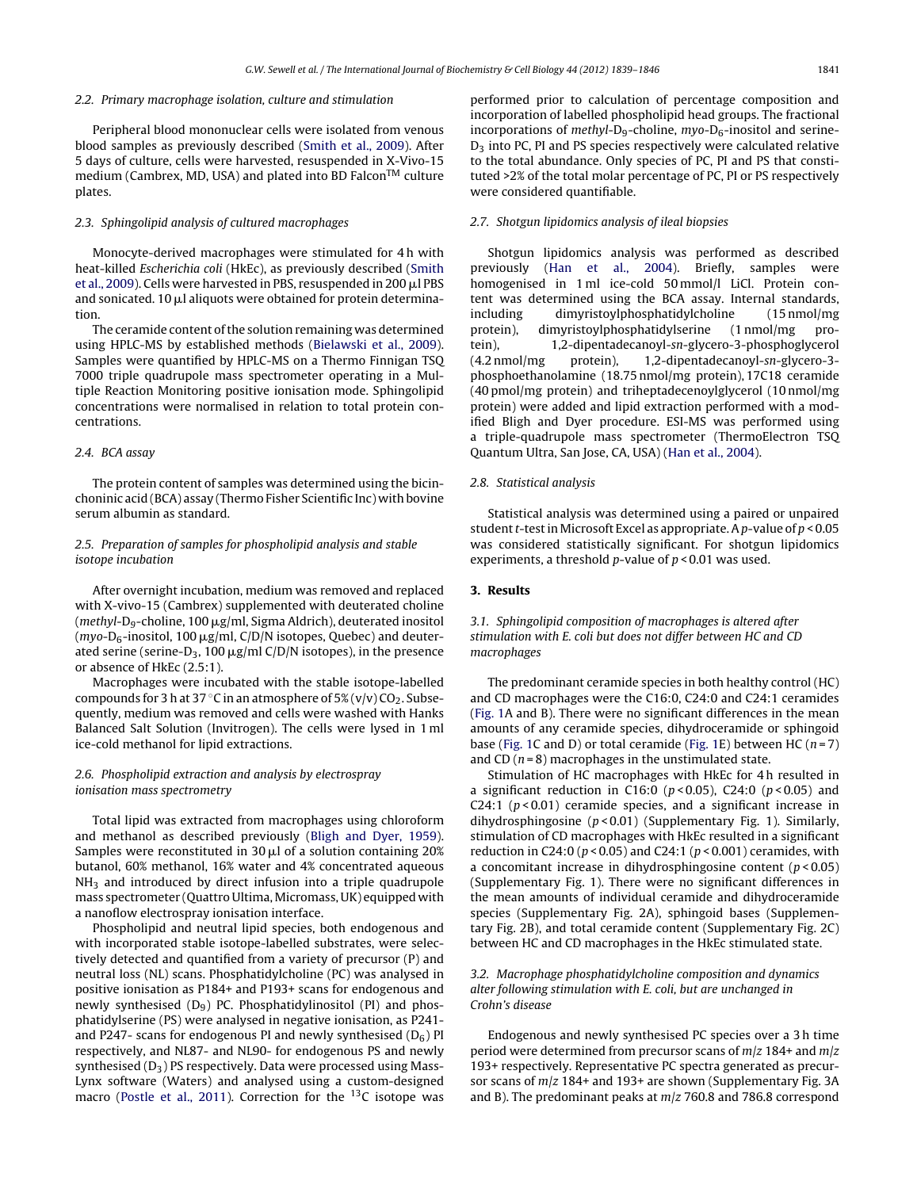#### 2.2. Primary macrophage isolation, culture and stimulation

Peripheral blood mononuclear cells were isolated from venous blood samples as previously described [\(Smith](#page-7-0) et [al.,](#page-7-0) [2009\).](#page-7-0) After 5 days of culture, cells were harvested, resuspended in X-Vivo-15 medium (Cambrex, MD, USA) and plated into BD Falcon<sup>TM</sup> culture plates.

#### 2.3. Sphingolipid analysis of cultured macrophages

Monocyte-derived macrophages were stimulated for 4 h with heat-killed Escherichia coli (HkEc), as previously described ([Smith](#page-7-0) et [al.,](#page-7-0) [2009\).](#page-7-0) Cells were harvested in PBS, resuspended in 200  $\mu$ l PBS and sonicated. 10  $\mu$ l aliquots were obtained for protein determination.

The ceramide content of the solution remaining was determined using HPLC-MS by established methods [\(Bielawski](#page-6-0) et [al.,](#page-6-0) [2009\).](#page-6-0) Samples were quantified by HPLC-MS on a Thermo Finnigan TSQ 7000 triple quadrupole mass spectrometer operating in a Multiple Reaction Monitoring positive ionisation mode. Sphingolipid concentrations were normalised in relation to total protein concentrations.

#### 2.4. BCA assay

The protein content of samples was determined using the bicinchoninic acid (BCA) assay (Thermo Fisher Scientific Inc) with bovine serum albumin as standard.

## 2.5. Preparation of samples for phospholipid analysis and stable isotope incubation

After overnight incubation, medium was removed and replaced with X-vivo-15 (Cambrex) supplemented with deuterated choline (methyl-D<sub>9</sub>-choline, 100  $\mu$ g/ml, Sigma Aldrich), deuterated inositol  $(myo-D<sub>6</sub>-inositol, 100 µg/ml, C/D/N$  isotopes, Quebec) and deuterated serine (serine-D<sub>3</sub>, 100  $\mu$ g/ml C/D/N isotopes), in the presence or absence of HkEc (2.5:1).

Macrophages were incubated with the stable isotope-labelled compounds for 3 h at 37 °C in an atmosphere of 5% (v/v)  $CO_2$ . Subsequently, medium was removed and cells were washed with Hanks Balanced Salt Solution (Invitrogen). The cells were lysed in 1 ml ice-cold methanol for lipid extractions.

## 2.6. Phospholipid extraction and analysis by electrospray ionisation mass spectrometry

Total lipid was extracted from macrophages using chloroform and methanol as described previously [\(Bligh](#page-7-0) [and](#page-7-0) [Dyer,](#page-7-0) [1959\).](#page-7-0) Samples were reconstituted in 30  $\mu$ l of a solution containing 20% butanol, 60% methanol, 16% water and 4% concentrated aqueous  $NH<sub>3</sub>$  and introduced by direct infusion into a triple quadrupole mass spectrometer (Quattro Ultima, Micromass, UK) equipped with a nanoflow electrospray ionisation interface.

Phospholipid and neutral lipid species, both endogenous and with incorporated stable isotope-labelled substrates, were selectively detected and quantified from a variety of precursor (P) and neutral loss (NL) scans. Phosphatidylcholine (PC) was analysed in positive ionisation as P184+ and P193+ scans for endogenous and newly synthesised  $(D<sub>9</sub>)$  PC. Phosphatidylinositol (PI) and phosphatidylserine (PS) were analysed in negative ionisation, as P241 and P247- scans for endogenous PI and newly synthesised  $(D_6)$  PI respectively, and NL87- and NL90- for endogenous PS and newly synthesised  $(D_3)$  PS respectively. Data were processed using Mass-Lynx software (Waters) and analysed using a custom-designed macro ([Postle](#page-7-0) et [al.,](#page-7-0) [2011\).](#page-7-0) Correction for the  $^{13}$ C isotope was performed prior to calculation of percentage composition and incorporation of labelled phospholipid head groups. The fractional incorporations of methyl-D<sub>9</sub>-choline, myo-D<sub>6</sub>-inositol and serine-D<sub>3</sub> into PC, PI and PS species respectively were calculated relative to the total abundance. Only species of PC, PI and PS that constituted >2% of the total molar percentage of PC, PI or PS respectively were considered quantifiable.

### 2.7. Shotgun lipidomics analysis of ileal biopsies

Shotgun lipidomics analysis was performed as described previously ([Han](#page-7-0) [et](#page-7-0) al., [2004\).](#page-7-0) Briefly, samples were homogenised in 1 ml ice-cold 50 mmol/l LiCl. Protein content was determined using the BCA assay. Internal standards, including dimyristoylphosphatidylcholine (15 nmol/mg protein), dimyristoylphosphatidylserine (1 nmol/mg protein), 1,2-dipentadecanoyl-sn-glycero-3-phosphoglycerol (4.2 nmol/mg protein), 1,2-dipentadecanoyl-sn-glycero-3 phosphoethanolamine (18.75 nmol/mg protein), 17C18 ceramide (40 pmol/mg protein) and triheptadecenoylglycerol (10 nmol/mg protein) were added and lipid extraction performed with a modified Bligh and Dyer procedure. ESI-MS was performed using a triple-quadrupole mass spectrometer (ThermoElectron TSQ Quantum Ultra, San Jose, CA, USA) [\(Han](#page-7-0) et [al.,](#page-7-0) [2004\).](#page-7-0)

#### 2.8. Statistical analysis

Statistical analysis was determined using a paired or unpaired student t-test in Microsoft Excel as appropriate. A  $p$ -value of  $p < 0.05$ was considered statistically significant. For shotgun lipidomics experiments, a threshold *p*-value of  $p < 0.01$  was used.

## **3. Results**

## 3.1. Sphingolipid composition of macrophages is altered after stimulation with E. coli but does not differ between HC and CD macrophages

The predominant ceramide species in both healthy control (HC) and CD macrophages were the C16:0, C24:0 and C24:1 ceramides [\(Fig.](#page-3-0) 1A and B). There were no significant differences in the mean amounts of any ceramide species, dihydroceramide or sphingoid base ([Fig.](#page-3-0) 1C and D) or total ceramide (Fig. 1E) between HC ( $n = 7$ ) and CD ( $n = 8$ ) macrophages in the unstimulated state.

Stimulation of HC macrophages with HkEc for 4 h resulted in a significant reduction in C16:0 ( $p$  < 0.05), C24:0 ( $p$  < 0.05) and C24:1 ( $p$  < 0.01) ceramide species, and a significant increase in dihydrosphingosine ( $p$ <0.01) (Supplementary Fig. 1). Similarly, stimulation of CD macrophages with HkEc resulted in a significant reduction in C24:0 ( $p$  < 0.05) and C24:1 ( $p$  < 0.001) ceramides, with a concomitant increase in dihydrosphingosine content  $(p < 0.05)$ (Supplementary Fig. 1). There were no significant differences in the mean amounts of individual ceramide and dihydroceramide species (Supplementary Fig. 2A), sphingoid bases (Supplementary Fig. 2B), and total ceramide content (Supplementary Fig. 2C) between HC and CD macrophages in the HkEc stimulated state.

## 3.2. Macrophage phosphatidylcholine composition and dynamics alter following stimulation with E. coli, but are unchanged in Crohn's disease

Endogenous and newly synthesised PC species over a 3 h time period were determined from precursor scans of  $m/z$  184+ and  $m/z$ 193+ respectively. Representative PC spectra generated as precursor scans of  $m/z$  184+ and 193+ are shown (Supplementary Fig. 3A and B). The predominant peaks at  $m/z$  760.8 and 786.8 correspond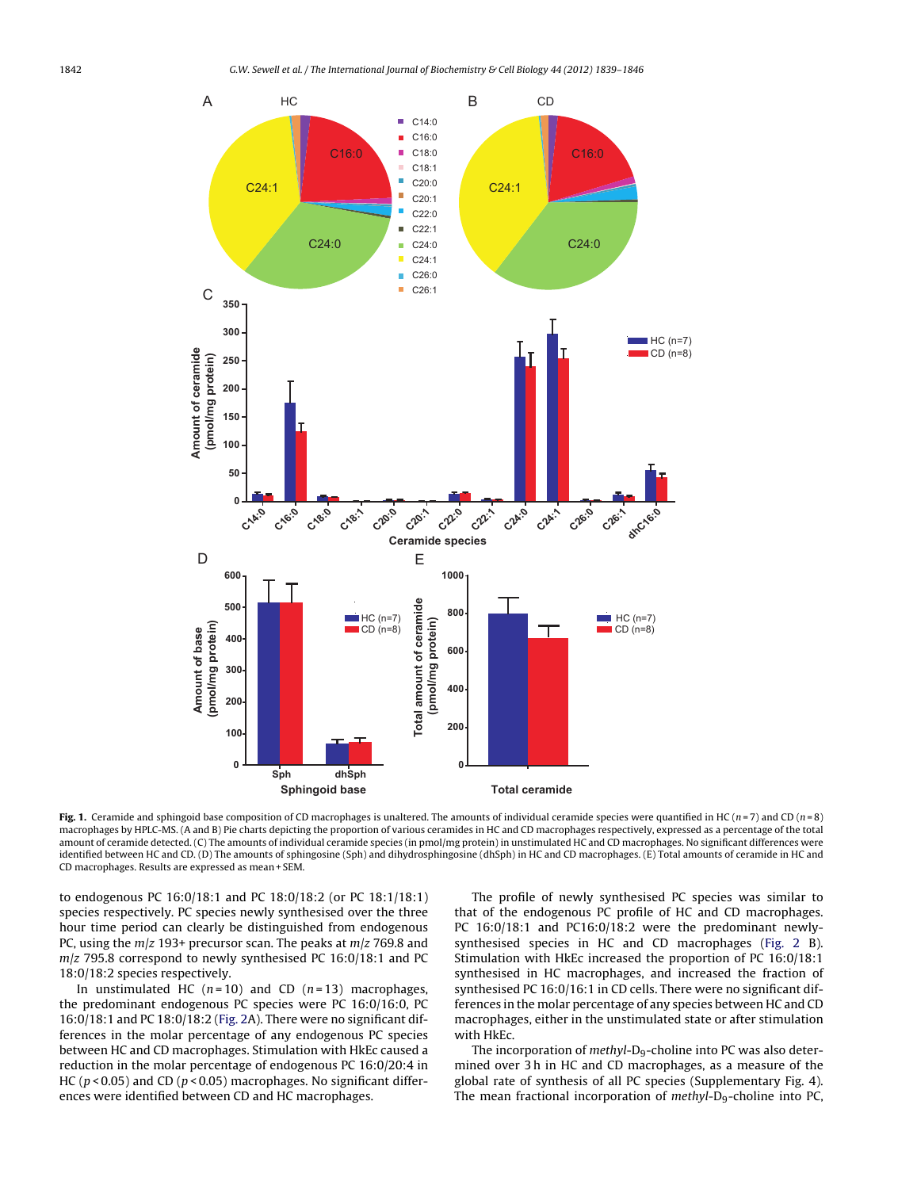<span id="page-3-0"></span>

**Fig. 1.** Ceramide and sphingoid base composition of CD macrophages is unaltered. The amounts of individual ceramide species were quantified in HC (n = 7) and CD (n = 8) macrophages by HPLC-MS. (A and B) Pie charts depicting the proportion of various ceramides in HC and CD macrophages respectively, expressed as a percentage of the total amount of ceramide detected. (C) The amounts of individual ceramide species (in pmol/mg protein) in unstimulated HC and CD macrophages. No significant differences were identified between HC and CD. (D) The amounts of sphingosine (Sph) and dihydrosphingosine (dhSph) in HC and CD macrophages. (E) Total amounts of ceramide in HC and CD macrophages. Results are expressed as mean + SEM.

to endogenous PC 16:0/18:1 and PC 18:0/18:2 (or PC 18:1/18:1) species respectively. PC species newly synthesised over the three hour time period can clearly be distinguished from endogenous PC, using the  $m/z$  193+ precursor scan. The peaks at  $m/z$  769.8 and  $m/z$  795.8 correspond to newly synthesised PC 16:0/18:1 and PC 18:0/18:2 species respectively.

In unstimulated HC ( $n = 10$ ) and CD ( $n = 13$ ) macrophages, the predominant endogenous PC species were PC 16:0/16:0, PC 16:0/18:1 and PC 18:0/18:2 ([Fig.](#page-4-0) 2A). There were no significant differences in the molar percentage of any endogenous PC species between HC and CD macrophages. Stimulation with HkEc caused a reduction in the molar percentage of endogenous PC 16:0/20:4 in HC ( $p$  < 0.05) and CD ( $p$  < 0.05) macrophages. No significant differences were identified between CD and HC macrophages.

The profile of newly synthesised PC species was similar to that of the endogenous PC profile of HC and CD macrophages. PC 16:0/18:1 and PC16:0/18:2 were the predominant newlysynthesised species in HC and CD macrophages [\(Fig.](#page-4-0) 2 B). Stimulation with HkEc increased the proportion of PC 16:0/18:1 synthesised in HC macrophages, and increased the fraction of synthesised PC 16:0/16:1 in CD cells. There were no significant differences in the molar percentage of any species between HC and CD macrophages, either in the unstimulated state or after stimulation with HkEc.

The incorporation of methyl-D<sub>9</sub>-choline into PC was also determined over 3 h in HC and CD macrophages, as a measure of the global rate of synthesis of all PC species (Supplementary Fig. 4). The mean fractional incorporation of  $methyl-D<sub>9</sub>$ -choline into PC,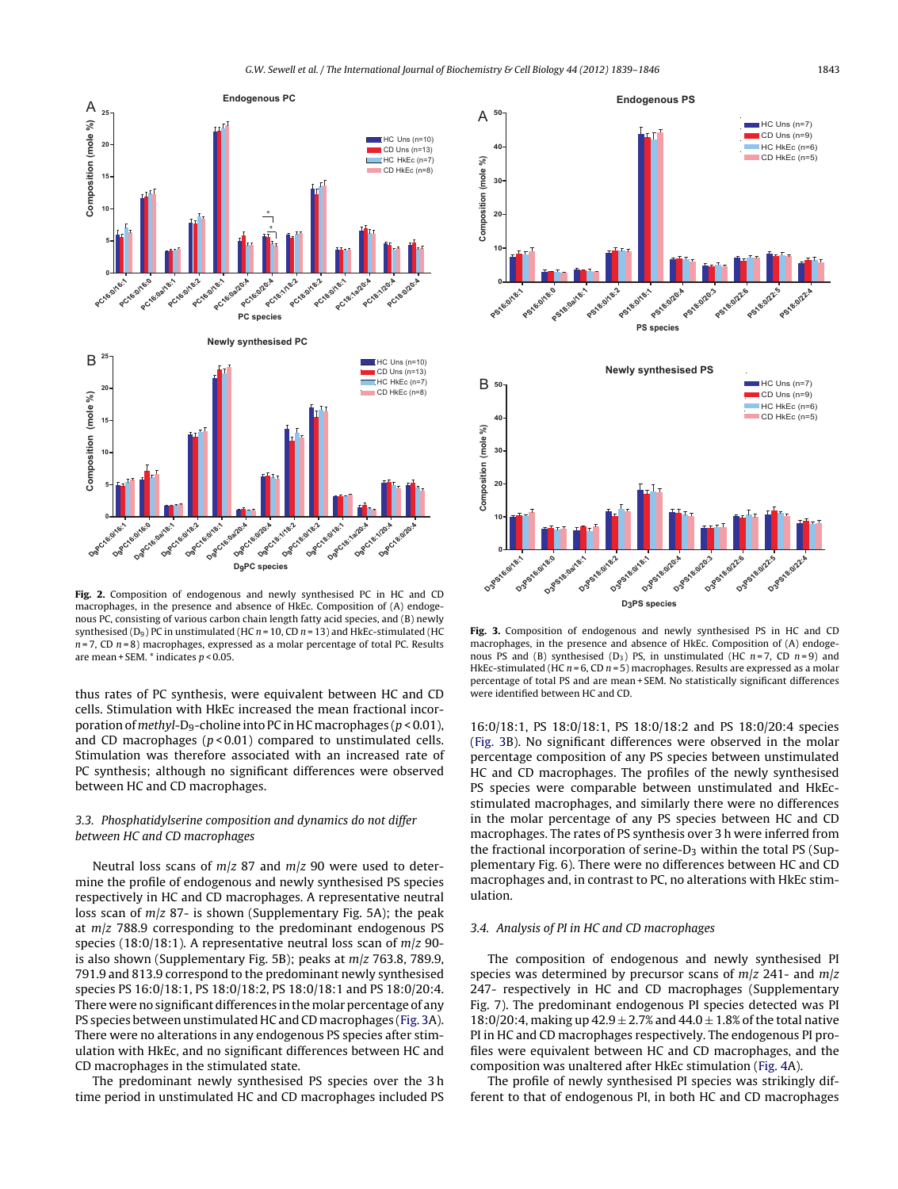<span id="page-4-0"></span>

**Fig. 2.** Composition of endogenous and newly synthesised PC in HC and CD macrophages, in the presence and absence of HkEc. Composition of (A) endogenous PC, consisting of various carbon chain length fatty acid species, and (B) newly synthesised  $(D_9)$  PC in unstimulated (HC  $n = 10$ , CD  $n = 13$ ) and HkEc-stimulated (HC  $n = 7$ , CD  $n = 8$ ) macrophages, expressed as a molar percentage of total PC. Results are mean + SEM.  $*$  indicates  $p < 0.05$ .

thus rates of PC synthesis, were equivalent between HC and CD cells. Stimulation with HkEc increased the mean fractional incorporation of methyl-D<sub>9</sub>-choline into PC in HC macrophages ( $p < 0.01$ ), and CD macrophages ( $p$  < 0.01) compared to unstimulated cells. Stimulation was therefore associated with an increased rate of PC synthesis; although no significant differences were observed between HC and CD macrophages.

## 3.3. Phosphatidylserine composition and dynamics do not differ between HC and CD macrophages

Neutral loss scans of  $m/z$  87 and  $m/z$  90 were used to determine the profile of endogenous and newly synthesised PS species respectively in HC and CD macrophages. A representative neutral loss scan of  $m/z$  87- is shown (Supplementary Fig. 5A); the peak at  $m/z$  788.9 corresponding to the predominant endogenous PS species (18:0/18:1). A representative neutral loss scan of  $m/z$  90is also shown (Supplementary Fig. 5B); peaks at  $m/z$  763.8, 789.9, 791.9 and 813.9 correspond to the predominant newly synthesised species PS 16:0/18:1, PS 18:0/18:2, PS 18:0/18:1 and PS 18:0/20:4. There were no significant differences in the molar percentage of any PS species between unstimulated HC and CD macrophages (Fig. 3A). There were no alterations in any endogenous PS species after stimulation with HkEc, and no significant differences between HC and CD macrophages in the stimulated state.

The predominant newly synthesised PS species over the 3 h time period in unstimulated HC and CD macrophages included PS



**Fig. 3.** Composition of endogenous and newly synthesised PS in HC and CD macrophages, in the presence and absence of HkEc. Composition of (A) endogenous PS and (B) synthesised (D<sub>3</sub>) PS, in unstimulated (HC  $n=7$ , CD  $n=9$ ) and HkEc-stimulated (HC  $n = 6$ , CD  $n = 5$ ) macrophages. Results are expressed as a molar percentage of total PS and are mean + SEM. No statistically significant differences were identified between HC and CD.

16:0/18:1, PS 18:0/18:1, PS 18:0/18:2 and PS 18:0/20:4 species (Fig. 3B). No significant differences were observed in the molar percentage composition of any PS species between unstimulated HC and CD macrophages. The profiles of the newly synthesised PS species were comparable between unstimulated and HkEcstimulated macrophages, and similarly there were no differences in the molar percentage of any PS species between HC and CD macrophages. The rates of PS synthesis over 3 h were inferred from the fractional incorporation of serine- $D_3$  within the total PS (Supplementary Fig. 6). There were no differences between HC and CD macrophages and, in contrast to PC, no alterations with HkEc stimulation.

## 3.4. Analysis of PI in HC and CD macrophages

The composition of endogenous and newly synthesised PI species was determined by precursor scans of  $m/z$  241- and  $m/z$ 247- respectively in HC and CD macrophages (Supplementary Fig. 7). The predominant endogenous PI species detected was PI 18:0/20:4, making up  $42.9 \pm 2.7$ % and  $44.0 \pm 1.8$ % of the total native PI in HC and CD macrophages respectively. The endogenous PI profiles were equivalent between HC and CD macrophages, and the composition was unaltered after HkEc stimulation ([Fig.](#page-5-0) 4A).

The profile of newly synthesised PI species was strikingly different to that of endogenous PI, in both HC and CD macrophages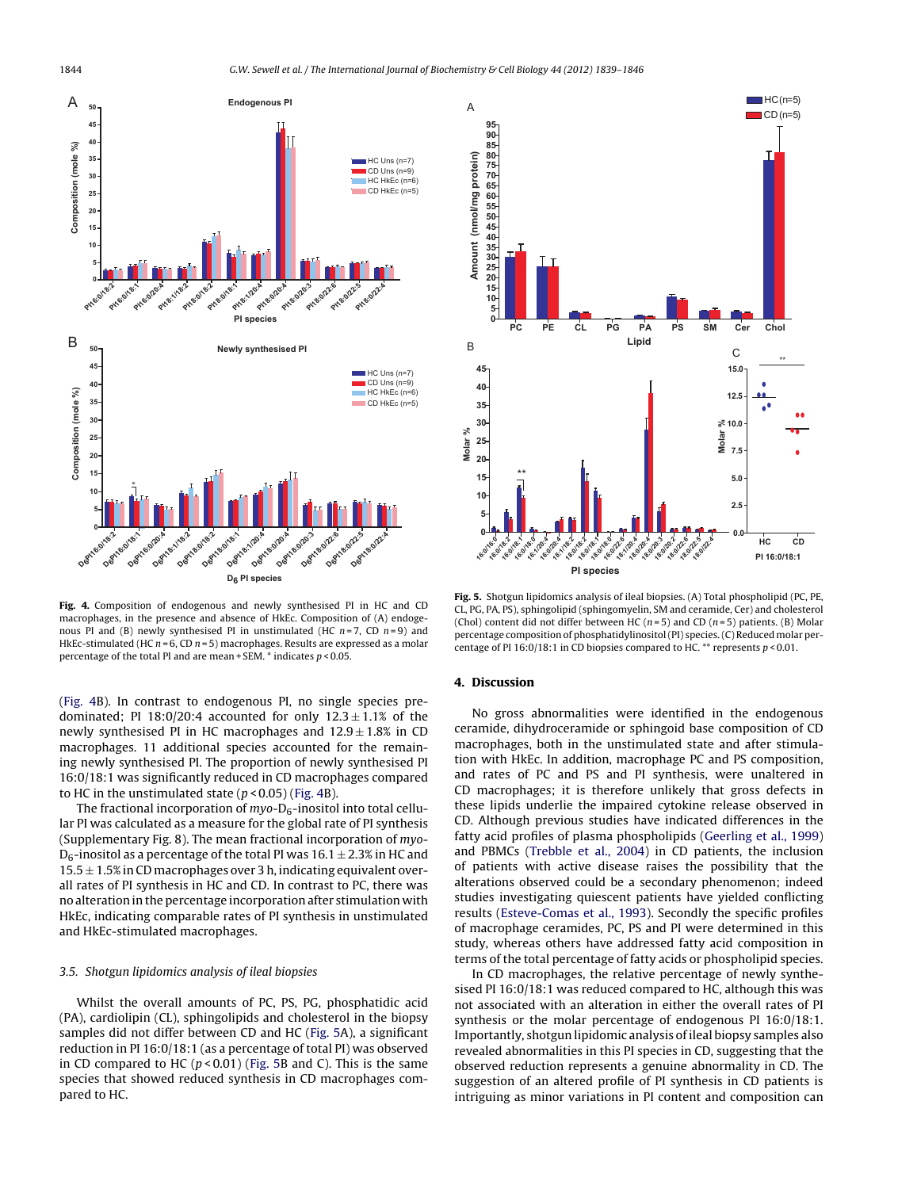<span id="page-5-0"></span>

**Fig. 4.** Composition of endogenous and newly synthesised PI in HC and CD macrophages, in the presence and absence of HkEc. Composition of (A) endogenous PI and (B) newly synthesised PI in unstimulated (HC  $n=7$ , CD  $n=9$ ) and HkEc-stimulated (HC  $n = 6$ , CD  $n = 5$ ) macrophages. Results are expressed as a molar percentage of the total PI and are mean + SEM.  $*$  indicates  $p < 0.05$ .

(Fig. 4B). In contrast to endogenous PI, no single species predominated; PI 18:0/20:4 accounted for only  $12.3 \pm 1.1\%$  of the newly synthesised PI in HC macrophages and  $12.9 \pm 1.8\%$  in CD macrophages. 11 additional species accounted for the remaining newly synthesised PI. The proportion of newly synthesised PI 16:0/18:1 was significantly reduced in CD macrophages compared to HC in the unstimulated state  $(p < 0.05)$  (Fig. 4B).

The fractional incorporation of  $mvo-D<sub>6</sub>$ -inositol into total cellular PI was calculated as a measure for the global rate of PI synthesis (Supplementary Fig. 8). The mean fractional incorporation of myo- $D_6$ -inositol as a percentage of the total PI was  $16.1 \pm 2.3\%$  in HC and  $15.5 \pm 1.5\%$  in CD macrophages over 3 h, indicating equivalent overall rates of PI synthesis in HC and CD. In contrast to PC, there was no alteration in the percentage incorporation after stimulation with HkEc, indicating comparable rates of PI synthesis in unstimulated and HkEc-stimulated macrophages.

### 3.5. Shotgun lipidomics analysis of ileal biopsies

Whilst the overall amounts of PC, PS, PG, phosphatidic acid (PA), cardiolipin (CL), sphingolipids and cholesterol in the biopsy samples did not differ between CD and HC (Fig. 5A), a significant reduction in PI 16:0/18:1 (as a percentage of total PI) was observed in CD compared to HC ( $p$  < 0.01) (Fig. 5B and C). This is the same species that showed reduced synthesis in CD macrophages compared to HC.



**Fig. 5.** Shotgun lipidomics analysis of ileal biopsies. (A) Total phospholipid (PC, PE, CL, PG, PA, PS), sphingolipid (sphingomyelin, SM and ceramide, Cer) and cholesterol (Chol) content did not differ between HC ( $n=5$ ) and CD ( $n=5$ ) patients. (B) Molar percentage composition of phosphatidylinositol(PI) species.(C) Reduced molar percentage of PI 16:0/18:1 in CD biopsies compared to HC. \*\* represents  $p < 0.01$ .

### **4. Discussion**

No gross abnormalities were identified in the endogenous ceramide, dihydroceramide or sphingoid base composition of CD macrophages, both in the unstimulated state and after stimulation with HkEc. In addition, macrophage PC and PS composition, and rates of PC and PS and PI synthesis, were unaltered in CD macrophages; it is therefore unlikely that gross defects in these lipids underlie the impaired cytokine release observed in CD. Although previous studies have indicated differences in the fatty acid profiles of plasma phospholipids [\(Geerling](#page-7-0) et [al.,](#page-7-0) [1999\)](#page-7-0) and PBMCs ([Trebble](#page-7-0) et [al.,](#page-7-0) [2004\)](#page-7-0) in CD patients, the inclusion of patients with active disease raises the possibility that the alterations observed could be a secondary phenomenon; indeed studies investigating quiescent patients have yielded conflicting results [\(Esteve-Comas](#page-7-0) et [al.,](#page-7-0) [1993\).](#page-7-0) Secondly the specific profiles of macrophage ceramides, PC, PS and PI were determined in this study, whereas others have addressed fatty acid composition in terms of the total percentage of fatty acids or phospholipid species.

In CD macrophages, the relative percentage of newly synthesised PI 16:0/18:1 was reduced compared to HC, although this was not associated with an alteration in either the overall rates of PI synthesis or the molar percentage of endogenous PI 16:0/18:1. Importantly, shotgun lipidomic analysis of ileal biopsy samples also revealed abnormalities in this PI species in CD, suggesting that the observed reduction represents a genuine abnormality in CD. The suggestion of an altered profile of PI synthesis in CD patients is intriguing as minor variations in PI content and composition can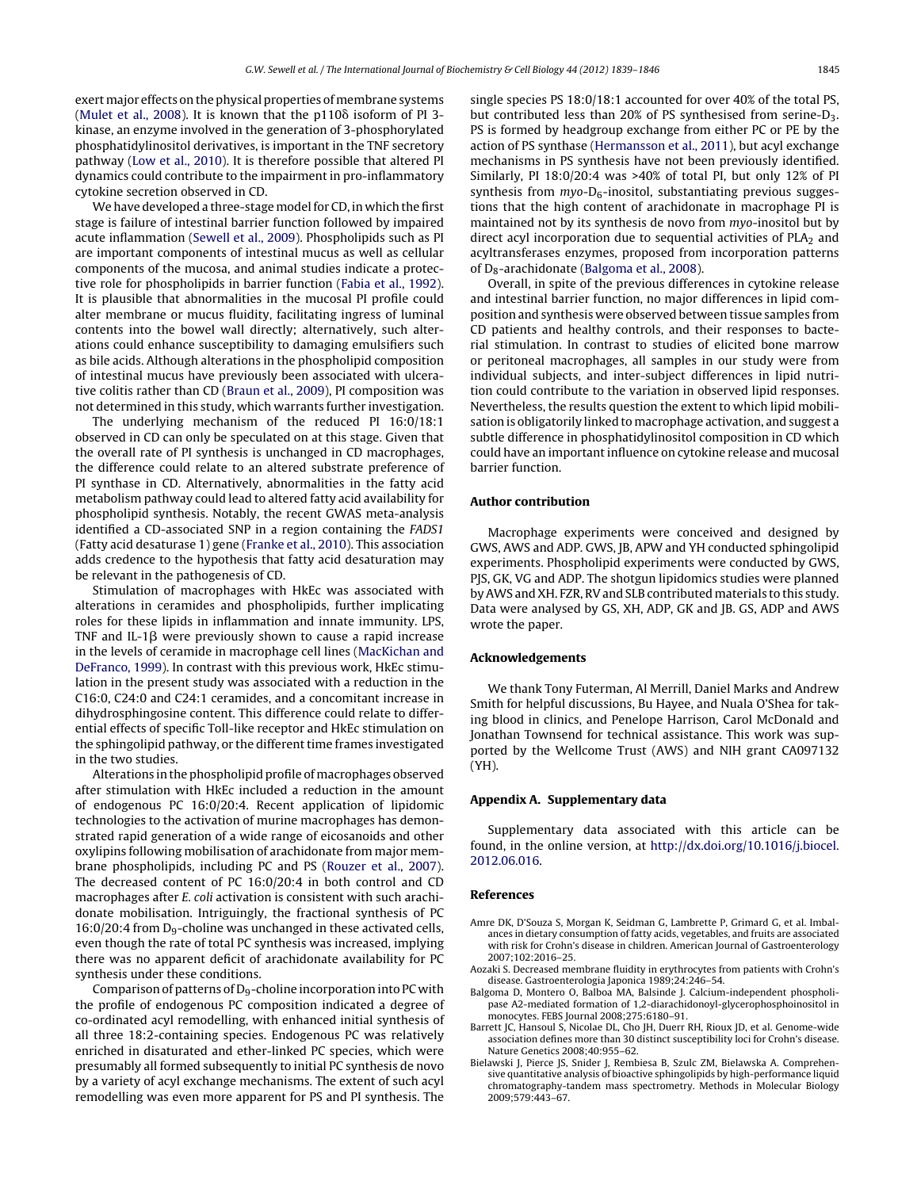<span id="page-6-0"></span>exert major effects on the physical properties of membrane systems ([Mulet](#page-7-0) et [al.,](#page-7-0) [2008\).](#page-7-0) It is known that the  $p110\delta$  isoform of PI 3kinase, an enzyme involved in the generation of 3-phosphorylated phosphatidylinositol derivatives, is important in the TNF secretory pathway ([Low](#page-7-0) et [al.,](#page-7-0) [2010\).](#page-7-0) It is therefore possible that altered PI dynamics could contribute to the impairment in pro-inflammatory cytokine secretion observed in CD.

We have developed a three-stage model for CD, in which the first stage is failure of intestinal barrier function followed by impaired acute inflammation [\(Sewell](#page-7-0) et [al.,](#page-7-0) [2009\).](#page-7-0) Phospholipids such as PI are important components of intestinal mucus as well as cellular components of the mucosa, and animal studies indicate a protective role for phospholipids in barrier function [\(Fabia](#page-7-0) et [al.,](#page-7-0) [1992\).](#page-7-0) It is plausible that abnormalities in the mucosal PI profile could alter membrane or mucus fluidity, facilitating ingress of luminal contents into the bowel wall directly; alternatively, such alterations could enhance susceptibility to damaging emulsifiers such as bile acids. Although alterations in the phospholipid composition of intestinal mucus have previously been associated with ulcerative colitis rather than CD [\(Braun](#page-7-0) et [al.,](#page-7-0) [2009\),](#page-7-0) PI composition was not determined in this study, which warrants further investigation.

The underlying mechanism of the reduced PI 16:0/18:1 observed in CD can only be speculated on at this stage. Given that the overall rate of PI synthesis is unchanged in CD macrophages, the difference could relate to an altered substrate preference of PI synthase in CD. Alternatively, abnormalities in the fatty acid metabolism pathway could lead to altered fatty acid availability for phospholipid synthesis. Notably, the recent GWAS meta-analysis identified a CD-associated SNP in a region containing the FADS1 (Fatty acid desaturase 1) gene [\(Franke](#page-7-0) et [al.,](#page-7-0) [2010\).](#page-7-0) This association adds credence to the hypothesis that fatty acid desaturation may be relevant in the pathogenesis of CD.

Stimulation of macrophages with HkEc was associated with alterations in ceramides and phospholipids, further implicating roles for these lipids in inflammation and innate immunity. LPS, TNF and IL-1 $\beta$  were previously shown to cause a rapid increase in the levels of ceramide in macrophage cell lines ([MacKichan](#page-7-0) [and](#page-7-0) [DeFranco,](#page-7-0) [1999\).](#page-7-0) In contrast with this previous work, HkEc stimulation in the present study was associated with a reduction in the C16:0, C24:0 and C24:1 ceramides, and a concomitant increase in dihydrosphingosine content. This difference could relate to differential effects of specific Toll-like receptor and HkEc stimulation on the sphingolipid pathway, or the different time frames investigated in the two studies.

Alterations in the phospholipid profile of macrophages observed after stimulation with HkEc included a reduction in the amount of endogenous PC 16:0/20:4. Recent application of lipidomic technologies to the activation of murine macrophages has demonstrated rapid generation of a wide range of eicosanoids and other oxylipins following mobilisation of arachidonate from major membrane phospholipids, including PC and PS [\(Rouzer](#page-7-0) et [al.,](#page-7-0) [2007\).](#page-7-0) The decreased content of PC 16:0/20:4 in both control and CD macrophages after E. coli activation is consistent with such arachidonate mobilisation. Intriguingly, the fractional synthesis of PC  $16:0/20:4$  from D<sub>9</sub>-choline was unchanged in these activated cells, even though the rate of total PC synthesis was increased, implying there was no apparent deficit of arachidonate availability for PC synthesis under these conditions.

Comparison of patterns of  $D<sub>9</sub>$ -choline incorporation into PC with the profile of endogenous PC composition indicated a degree of co-ordinated acyl remodelling, with enhanced initial synthesis of all three 18:2-containing species. Endogenous PC was relatively enriched in disaturated and ether-linked PC species, which were presumably all formed subsequently to initial PC synthesis de novo by a variety of acyl exchange mechanisms. The extent of such acyl remodelling was even more apparent for PS and PI synthesis. The

single species PS 18:0/18:1 accounted for over 40% of the total PS, but contributed less than 20% of PS synthesised from serine-D3. PS is formed by headgroup exchange from either PC or PE by the action of PS synthase [\(Hermansson](#page-7-0) et [al.,](#page-7-0) [2011\),](#page-7-0) but acyl exchange mechanisms in PS synthesis have not been previously identified. Similarly, PI 18:0/20:4 was >40% of total PI, but only 12% of PI synthesis from  $myo-D_6$ -inositol, substantiating previous suggestions that the high content of arachidonate in macrophage PI is maintained not by its synthesis de novo from myo-inositol but by direct acyl incorporation due to sequential activities of  $PLA<sub>2</sub>$  and acyltransferases enzymes, proposed from incorporation patterns of D<sub>8</sub>-arachidonate (Balgoma et al., 2008).

Overall, in spite of the previous differences in cytokine release and intestinal barrier function, no major differences in lipid composition and synthesis were observed between tissue samples from CD patients and healthy controls, and their responses to bacterial stimulation. In contrast to studies of elicited bone marrow or peritoneal macrophages, all samples in our study were from individual subjects, and inter-subject differences in lipid nutrition could contribute to the variation in observed lipid responses. Nevertheless, the results question the extent to which lipid mobilisation is obligatorily linked to macrophage activation, and suggest a subtle difference in phosphatidylinositol composition in CD which could have an important influence on cytokine release and mucosal barrier function.

## **Author contribution**

Macrophage experiments were conceived and designed by GWS, AWS and ADP. GWS, JB, APW and YH conducted sphingolipid experiments. Phospholipid experiments were conducted by GWS, PJS, GK, VG and ADP. The shotgun lipidomics studies were planned by AWS and XH. FZR, RV and SLB contributed materials to this study. Data were analysed by GS, XH, ADP, GK and JB. GS, ADP and AWS wrote the paper.

### **Acknowledgements**

We thank Tony Futerman, Al Merrill, Daniel Marks and Andrew Smith for helpful discussions, Bu Hayee, and Nuala O'Shea for taking blood in clinics, and Penelope Harrison, Carol McDonald and Jonathan Townsend for technical assistance. This work was supported by the Wellcome Trust (AWS) and NIH grant CA097132 (YH).

#### **Appendix A. Supplementary data**

Supplementary data associated with this article can be found, in the online version, at [http://dx.doi.org/10.1016/j.biocel.](http://dx.doi.org/10.1016/j.biocel.2012.06.016) [2012.06.016](http://dx.doi.org/10.1016/j.biocel.2012.06.016).

#### **References**

- Amre DK, D'Souza S, Morgan K, Seidman G, Lambrette P, Grimard G, et al. Imbalances in dietary consumption of fatty acids, vegetables, and fruits are associated with risk for Crohn's disease in children. American Journal of Gastroenterology 2007;102:2016–25.
- Aozaki S. Decreased membrane fluidity in erythrocytes from patients with Crohn's disease. Gastroenterologia Japonica 1989;24:246–54.
- Balgoma D, Montero O, Balboa MA, Balsinde J. Calcium-independent phospholipase A2-mediated formation of 1,2-diarachidonoyl-glycerophosphoinositol in monocytes. FEBS Journal 2008;275:6180–91.
- Barrett JC, Hansoul S, Nicolae DL, Cho JH, Duerr RH, Rioux JD, et al. Genome-wide association defines more than 30 distinct susceptibility loci for Crohn's disease. Nature Genetics 2008;40:955–62.
- Bielawski J, Pierce JS, Snider J, Rembiesa B, Szulc ZM, Bielawska A. Comprehensive quantitative analysis of bioactive sphingolipids by high-performance liquid chromatography-tandem mass spectrometry. Methods in Molecular Biology 2009;579:443–67.